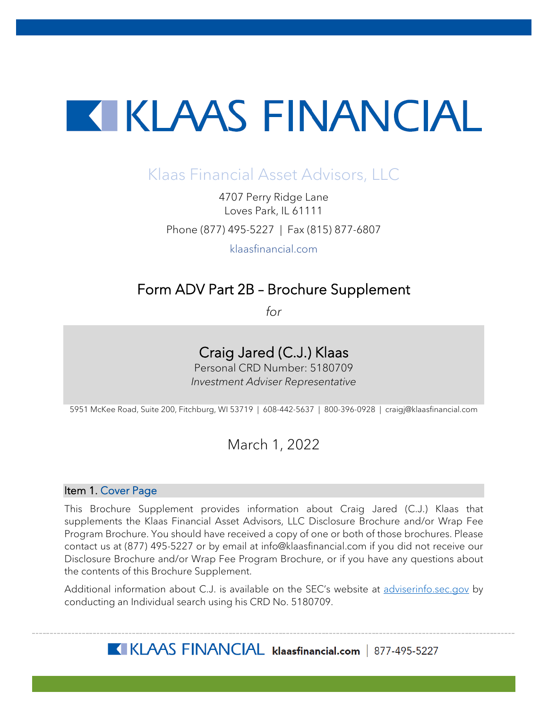# **TERESAL ENTRANCIAL**

## Klaas Financial Asset Advisors, LLC

4707 Perry Ridge Lane Loves Park, IL 61111 Phone (877) 495-5227 | Fax (815) 877-6807

klaasfinancial.com

## Form ADV Part 2B – Brochure Supplement

*for*

## Craig Jared (C.J.) Klaas

Personal CRD Number: 5180709 *Investment Adviser Representative*

5951 McKee Road, Suite 200, Fitchburg, WI 53719 | 608-442-5637 | 800-396-0928 | craigj@klaasfinancial.com

### March 1, 2022

#### Item 1. Cover Page

This Brochure Supplement provides information about Craig Jared (C.J.) Klaas that supplements the Klaas Financial Asset Advisors, LLC Disclosure Brochure and/or Wrap Fee Program Brochure. You should have received a copy of one or both of those brochures. Please contact us at (877) 495-5227 or by email at info@klaasfinancial.com if you did not receive our Disclosure Brochure and/or Wrap Fee Program Brochure, or if you have any questions about the contents of this Brochure Supplement.

Additional information about C.J. is available on the SEC's website at [adviserinfo.sec.gov](https://adviserinfo.sec.gov/) by conducting an Individual search using his CRD No. 5180709.

KLAAS FINANCIAL klaasfinancial.com | 877-495-5227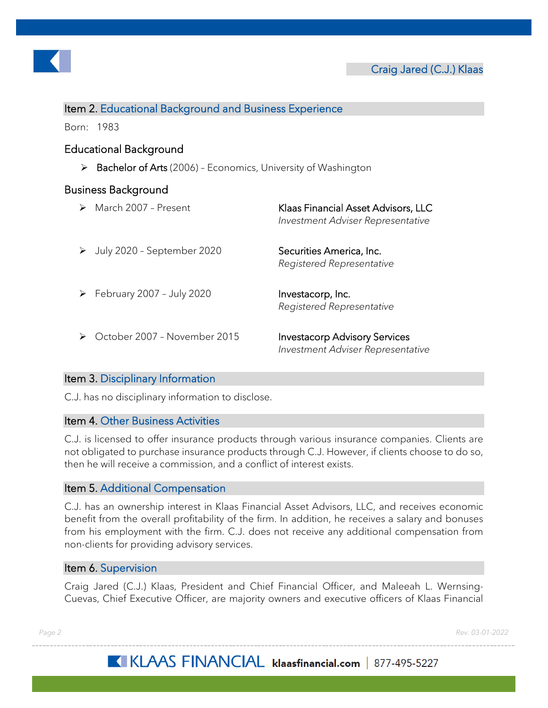

#### Item 2. Educational Background and Business Experience

Born: 1983

#### Educational Background

 $\triangleright$  Bachelor of Arts (2006) - Economics, University of Washington

#### Business Background

|   | March 2007 - Present         | Klaas Financial Asset Advisors, LLC<br>Investment Adviser Representative  |
|---|------------------------------|---------------------------------------------------------------------------|
|   | July 2020 - September 2020   | Securities America, Inc.<br>Registered Representative                     |
| ➤ | February 2007 - July 2020    | Investacorp, Inc.<br>Registered Representative                            |
|   | October 2007 - November 2015 | <b>Investacorp Advisory Services</b><br>Investment Adviser Representative |

#### Item 3. Disciplinary Information

C.J. has no disciplinary information to disclose.

#### Item 4. Other Business Activities

C.J. is licensed to offer insurance products through various insurance companies. Clients are not obligated to purchase insurance products through C.J. However, if clients choose to do so, then he will receive a commission, and a conflict of interest exists.

#### Item 5. Additional Compensation

C.J. has an ownership interest in Klaas Financial Asset Advisors, LLC, and receives economic benefit from the overall profitability of the firm. In addition, he receives a salary and bonuses from his employment with the firm. C.J. does not receive any additional compensation from non-clients for providing advisory services.

#### Item 6. Supervision

Craig Jared (C.J.) Klaas, President and Chief Financial Officer, and Maleeah L. Wernsing-Cuevas, Chief Executive Officer, are majority owners and executive officers of Klaas Financial